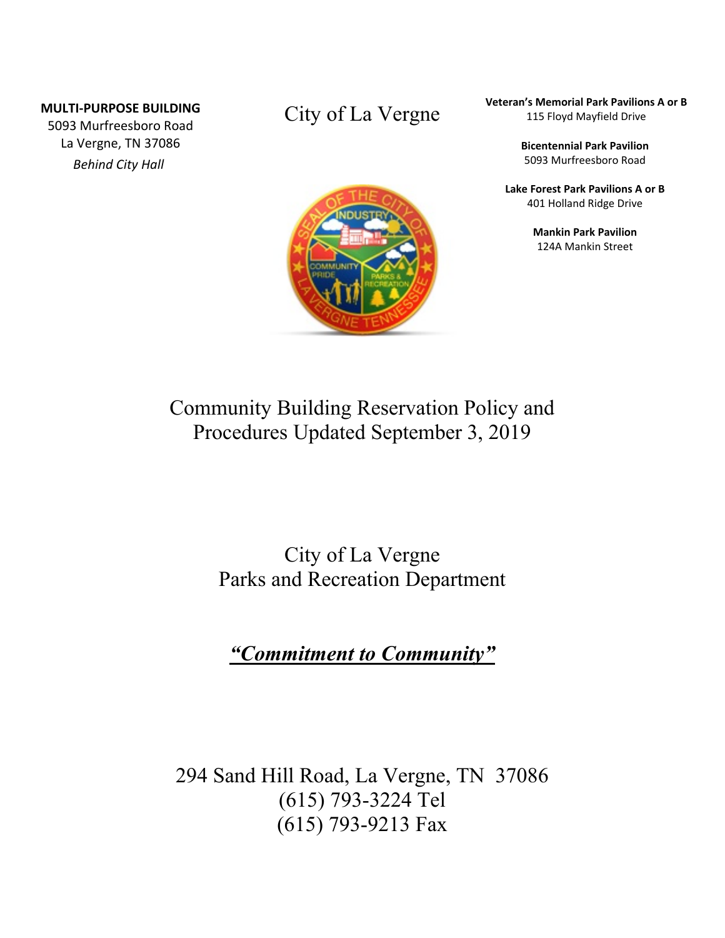#### **MULTI-PURPOSE BUILDING**

5093 Murfreesboro Road La Vergne, TN 37086 *Behind City Hall*

### City of La Vergne



**Veteran's Memorial Park Pavilions A or B** 115 Floyd Mayfield Drive

> **Bicentennial Park Pavilion** 5093 Murfreesboro Road

**Lake Forest Park Pavilions A or B** 401 Holland Ridge Drive

> **Mankin Park Pavilion** 124A Mankin Street

# Community Building Reservation Policy and Procedures Updated September 3, 2019

## City of La Vergne Parks and Recreation Department

# *"Commitment to Community"*

294 Sand Hill Road, La Vergne, TN 37086 (615) 793-3224 Tel (615) 793-9213 Fax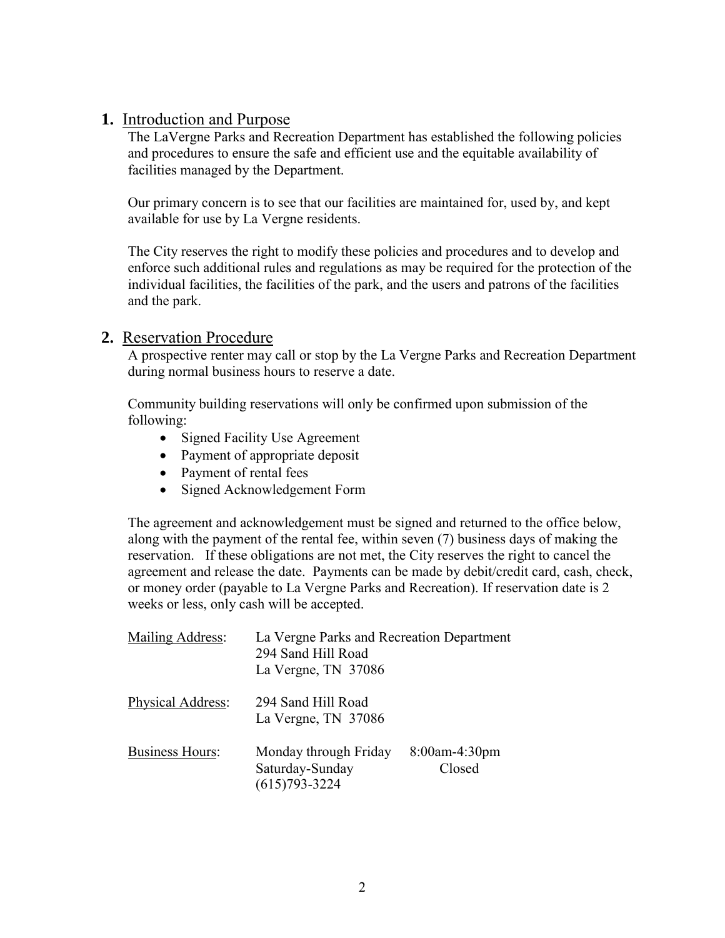#### **1.** Introduction and Purpose

The LaVergne Parks and Recreation Department has established the following policies and procedures to ensure the safe and efficient use and the equitable availability of facilities managed by the Department.

Our primary concern is to see that our facilities are maintained for, used by, and kept available for use by La Vergne residents.

The City reserves the right to modify these policies and procedures and to develop and enforce such additional rules and regulations as may be required for the protection of the individual facilities, the facilities of the park, and the users and patrons of the facilities and the park.

#### **2.** Reservation Procedure

A prospective renter may call or stop by the La Vergne Parks and Recreation Department during normal business hours to reserve a date.

Community building reservations will only be confirmed upon submission of the following:

- Signed Facility Use Agreement
- Payment of appropriate deposit
- Payment of rental fees
- Signed Acknowledgement Form

The agreement and acknowledgement must be signed and returned to the office below, along with the payment of the rental fee, within seven (7) business days of making the reservation. If these obligations are not met, the City reserves the right to cancel the agreement and release the date. Payments can be made by debit/credit card, cash, check, or money order (payable to La Vergne Parks and Recreation). If reservation date is 2 weeks or less, only cash will be accepted.

| Mailing Address:       | La Vergne Parks and Recreation Department<br>294 Sand Hill Road<br>La Vergne, TN 37086 |                            |
|------------------------|----------------------------------------------------------------------------------------|----------------------------|
| Physical Address:      | 294 Sand Hill Road<br>La Vergne, TN 37086                                              |                            |
| <b>Business Hours:</b> | Monday through Friday<br>Saturday-Sunday<br>$(615)793 - 3224$                          | $8:00$ am-4:30pm<br>Closed |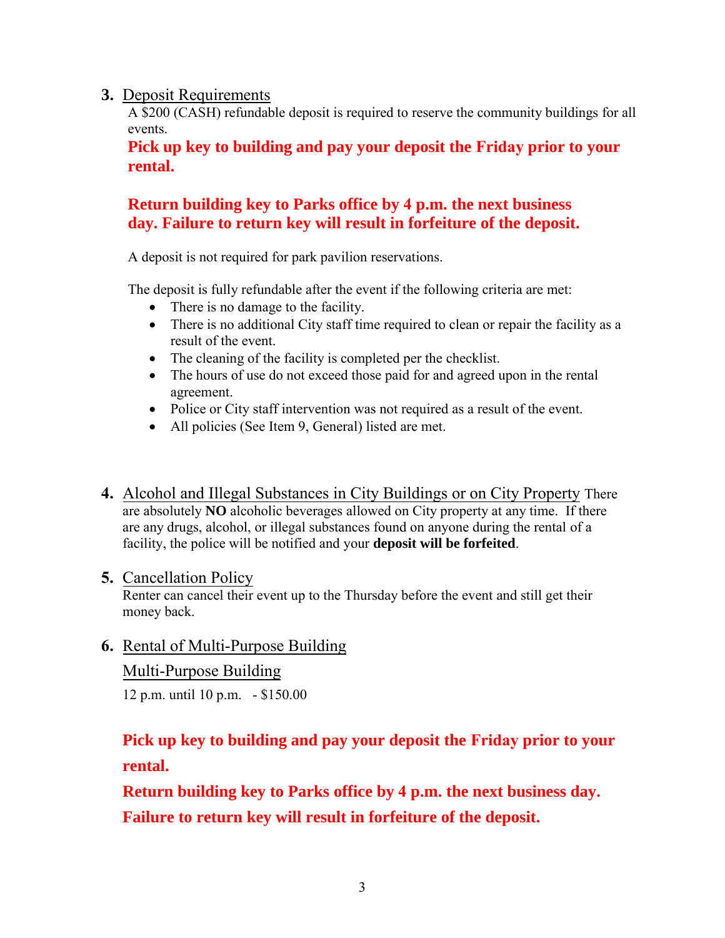#### **3.** Deposit Requirements

A \$200 (CASH) refundable deposit is required to reserve the community buildings for all events.

**Pick up key to building and pay your deposit the Friday prior to your rental.**

### **Return building key to Parks office by 4 p.m. the next business day. Failure to return key will result in forfeiture of the deposit.**

A deposit is not required for park pavilion reservations.

The deposit is fully refundable after the event if the following criteria are met:

- There is no damage to the facility.
- There is no additional City staff time required to clean or repair the facility as a result of the event.
- The cleaning of the facility is completed per the checklist.
- The hours of use do not exceed those paid for and agreed upon in the rental agreement.
- Police or City staff intervention was not required as a result of the event.
- All policies (See Item 9, General) listed are met.
- **4.** Alcohol and Illegal Substances in City Buildings or on City Property There are absolutely **NO** alcoholic beverages allowed on City property at any time. If there are any drugs, alcohol, or illegal substances found on anyone during the rental of a facility, the police will be notified and your **deposit will be forfeited**.

#### **5.** Cancellation Policy

Renter can cancel their event up to the Thursday before the event and still get their money back.

#### **6.** Rental of Multi-Purpose Building

#### Multi-Purpose Building

12 p.m. until 10 p.m. - \$150.00

### **Pick up key to building and pay your deposit the Friday prior to your rental.**

**Return building key to Parks office by 4 p.m. the next business day. Failure to return key will result in forfeiture of the deposit.**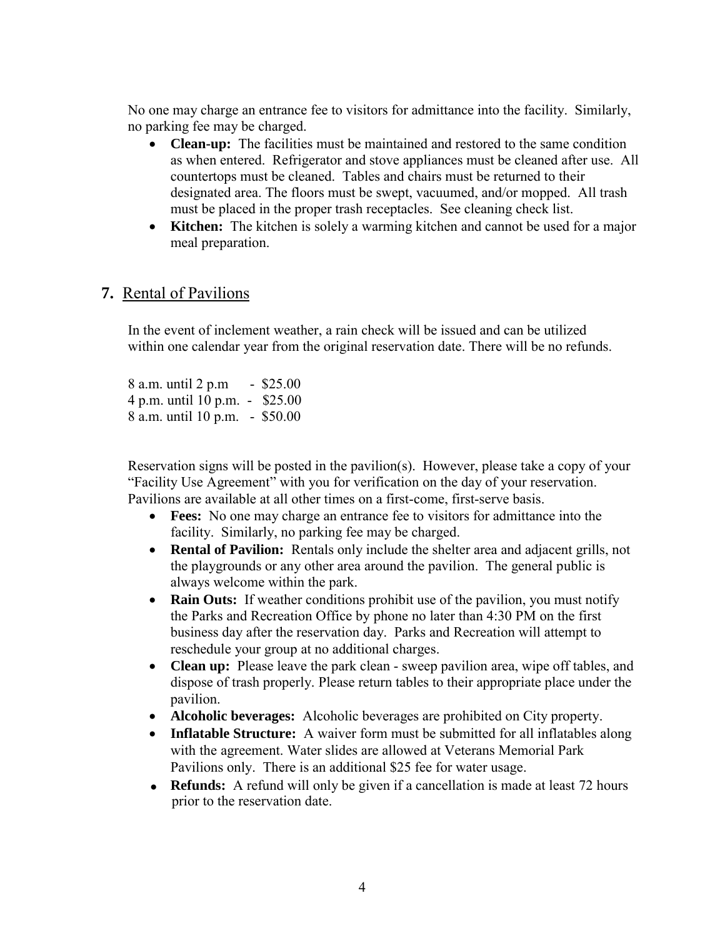No one may charge an entrance fee to visitors for admittance into the facility. Similarly, no parking fee may be charged.

- **Clean-up:** The facilities must be maintained and restored to the same condition as when entered. Refrigerator and stove appliances must be cleaned after use. All countertops must be cleaned. Tables and chairs must be returned to their designated area. The floors must be swept, vacuumed, and/or mopped. All trash must be placed in the proper trash receptacles. See cleaning check list.
- **Kitchen:** The kitchen is solely a warming kitchen and cannot be used for a major meal preparation.

#### **7.** Rental of Pavilions

In the event of inclement weather, a rain check will be issued and can be utilized within one calendar year from the original reservation date. There will be no refunds.

8 a.m. until 2 p.m - \$25.00 4 p.m. until 10 p.m. - \$25.00 8 a.m. until 10 p.m. - \$50.00

Reservation signs will be posted in the pavilion(s). However, please take a copy of your "Facility Use Agreement" with you for verification on the day of your reservation. Pavilions are available at all other times on a first-come, first-serve basis.

- **Fees:** No one may charge an entrance fee to visitors for admittance into the facility. Similarly, no parking fee may be charged.
- **Rental of Pavilion:** Rentals only include the shelter area and adjacent grills, not the playgrounds or any other area around the pavilion. The general public is always welcome within the park.
- **Rain Outs:** If weather conditions prohibit use of the pavilion, you must notify the Parks and Recreation Office by phone no later than 4:30 PM on the first business day after the reservation day. Parks and Recreation will attempt to reschedule your group at no additional charges.
- **Clean up:** Please leave the park clean sweep pavilion area, wipe off tables, and dispose of trash properly. Please return tables to their appropriate place under the pavilion.
- **Alcoholic beverages:** Alcoholic beverages are prohibited on City property.
- **Inflatable Structure:** A waiver form must be submitted for all inflatables along with the agreement. Water slides are allowed at Veterans Memorial Park Pavilions only. There is an additional \$25 fee for water usage.
- **Refunds:** A refund will only be given if a cancellation is made at least 72 hours prior to the reservation date.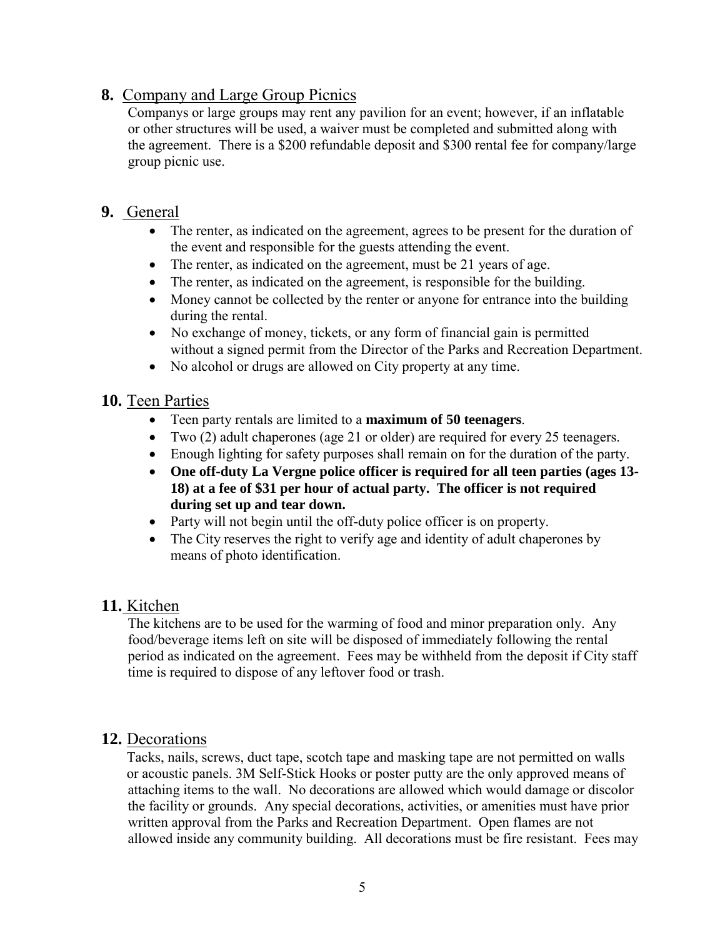#### **8.** Company and Large Group Picnics

Companys or large groups may rent any pavilion for an event; however, if an inflatable or other structures will be used, a waiver must be completed and submitted along with the agreement. There is a \$200 refundable deposit and \$300 rental fee for company/large group picnic use.

#### **9.** General

- The renter, as indicated on the agreement, agrees to be present for the duration of the event and responsible for the guests attending the event.
- The renter, as indicated on the agreement, must be 21 years of age.
- The renter, as indicated on the agreement, is responsible for the building.
- Money cannot be collected by the renter or anyone for entrance into the building during the rental.
- No exchange of money, tickets, or any form of financial gain is permitted without a signed permit from the Director of the Parks and Recreation Department.
- No alcohol or drugs are allowed on City property at any time.

#### **10.** Teen Parties

- Teen party rentals are limited to a **maximum of 50 teenagers**.
- Two (2) adult chaperones (age 21 or older) are required for every 25 teenagers.
- Enough lighting for safety purposes shall remain on for the duration of the party.
- **One off-duty La Vergne police officer is required for all teen parties (ages 13- 18) at a fee of \$31 per hour of actual party. The officer is not required during set up and tear down.**
- Party will not begin until the off-duty police officer is on property.
- The City reserves the right to verify age and identity of adult chaperones by means of photo identification.

#### **11.** Kitchen

The kitchens are to be used for the warming of food and minor preparation only. Any food/beverage items left on site will be disposed of immediately following the rental period as indicated on the agreement. Fees may be withheld from the deposit if City staff time is required to dispose of any leftover food or trash.

#### **12.** Decorations

Tacks, nails, screws, duct tape, scotch tape and masking tape are not permitted on walls or acoustic panels. 3M Self-Stick Hooks or poster putty are the only approved means of attaching items to the wall. No decorations are allowed which would damage or discolor the facility or grounds. Any special decorations, activities, or amenities must have prior written approval from the Parks and Recreation Department. Open flames are not allowed inside any community building. All decorations must be fire resistant. Fees may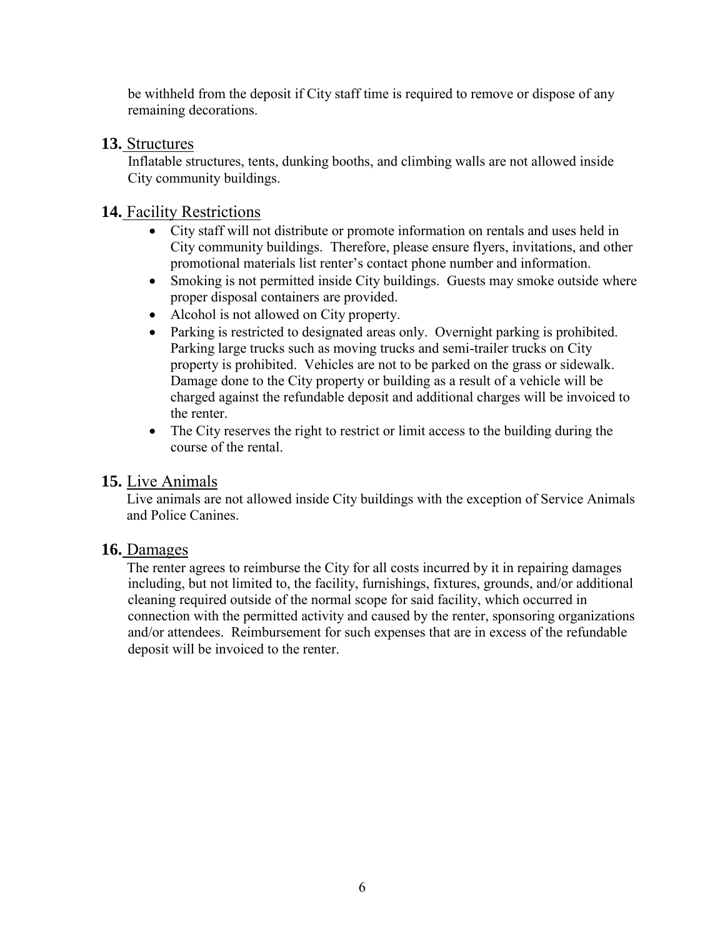be withheld from the deposit if City staff time is required to remove or dispose of any remaining decorations.

#### **13.** Structures

Inflatable structures, tents, dunking booths, and climbing walls are not allowed inside City community buildings.

#### **14.** Facility Restrictions

- City staff will not distribute or promote information on rentals and uses held in City community buildings. Therefore, please ensure flyers, invitations, and other promotional materials list renter's contact phone number and information.
- Smoking is not permitted inside City buildings. Guests may smoke outside where proper disposal containers are provided.
- Alcohol is not allowed on City property.
- Parking is restricted to designated areas only. Overnight parking is prohibited. Parking large trucks such as moving trucks and semi-trailer trucks on City property is prohibited. Vehicles are not to be parked on the grass or sidewalk. Damage done to the City property or building as a result of a vehicle will be charged against the refundable deposit and additional charges will be invoiced to the renter.
- The City reserves the right to restrict or limit access to the building during the course of the rental.

#### **15.** Live Animals

Live animals are not allowed inside City buildings with the exception of Service Animals and Police Canines.

#### **16.** Damages

The renter agrees to reimburse the City for all costs incurred by it in repairing damages including, but not limited to, the facility, furnishings, fixtures, grounds, and/or additional cleaning required outside of the normal scope for said facility, which occurred in connection with the permitted activity and caused by the renter, sponsoring organizations and/or attendees. Reimbursement for such expenses that are in excess of the refundable deposit will be invoiced to the renter.